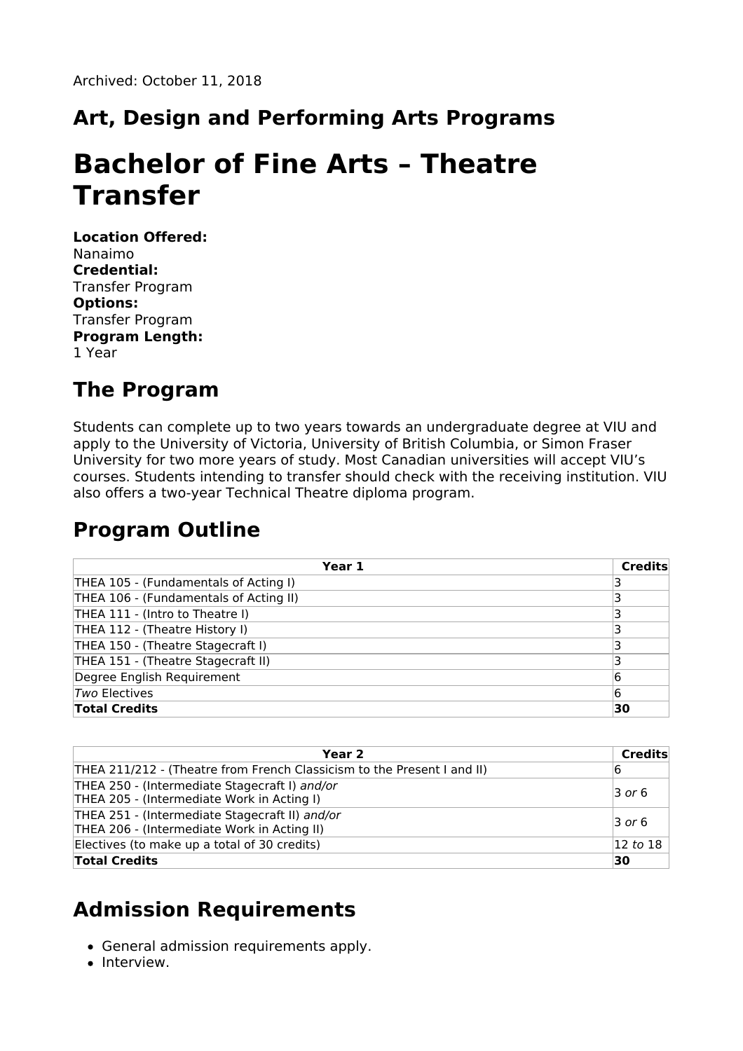## **Art, Design and Performing Arts Programs**

# **Bachelor of Fine Arts – Theatre Transfer**

**Location Offered:** Nanaimo **Credential:** Transfer Program **Options:** Transfer Program **Program Length:** 1 Year

#### **The Program**

Students can complete up to two years towards an undergraduate degree at VIU and apply to the University of Victoria, University of British Columbia, or Simon Fraser University for two more years of study. Most Canadian universities will accept VIU's courses. Students intending to transfer should check with the receiving institution. VIU also offers a two-year Technical Theatre diploma program.

### **Program Outline**

| Year 1                                 | <b>Credits</b> |
|----------------------------------------|----------------|
| THEA 105 - (Fundamentals of Acting I)  |                |
| THEA 106 - (Fundamentals of Acting II) |                |
| THEA 111 - (Intro to Theatre I)        |                |
| THEA 112 - (Theatre History I)         |                |
| THEA 150 - (Theatre Stagecraft I)      |                |
| THEA 151 - (Theatre Stagecraft II)     |                |
| Degree English Requirement             | 6              |
| <i>Two</i> Electives                   | 6              |
| <b>Total Credits</b>                   | 30             |

| Year <sub>2</sub>                                                                             | Credits              |
|-----------------------------------------------------------------------------------------------|----------------------|
| THEA 211/212 - (Theatre from French Classicism to the Present I and II)                       | 16                   |
| THEA 250 - (Intermediate Stagecraft I) and/or<br>THEA 205 - (Intermediate Work in Acting I)   | $\overline{3}$ or 6  |
| THEA 251 - (Intermediate Stagecraft II) and/or<br>THEA 206 - (Intermediate Work in Acting II) | $\overline{3}$ or 6  |
| Electives (to make up a total of 30 credits)                                                  | $ 12 \text{ to } 18$ |
| <b>Total Credits</b>                                                                          | 30                   |

### **Admission Requirements**

- General admission requirements apply.
- Interview.